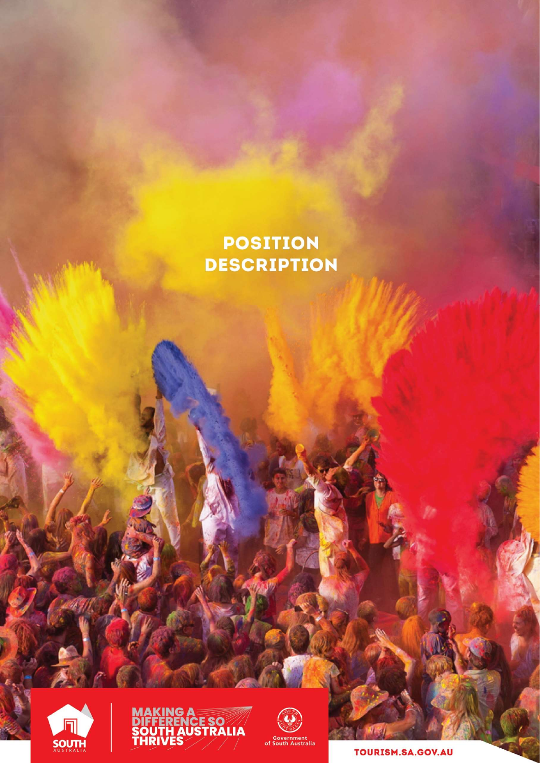# **POSITION DESCRIPTION**







TOURISM.SA.GOV.AU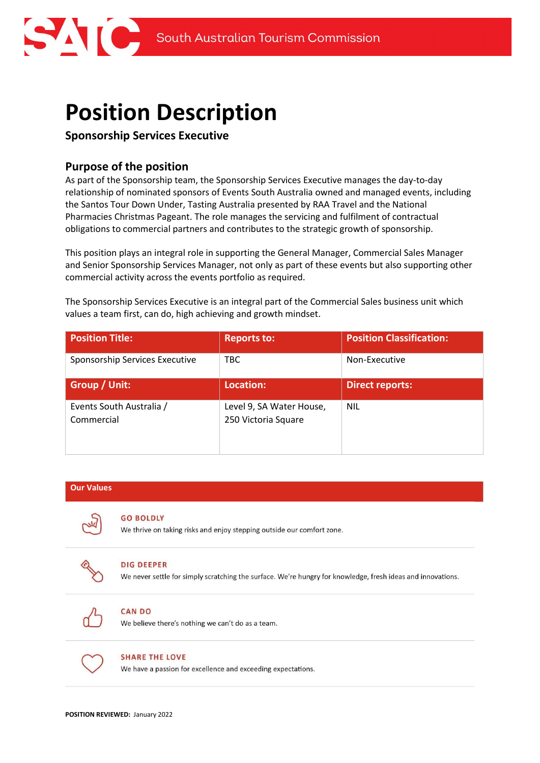

# Position Description

# Sponsorship Services Executive

# Purpose of the position

As part of the Sponsorship team, the Sponsorship Services Executive manages the day-to-day relationship of nominated sponsors of Events South Australia owned and managed events, including the Santos Tour Down Under, Tasting Australia presented by RAA Travel and the National Pharmacies Christmas Pageant. The role manages the servicing and fulfilment of contractual obligations to commercial partners and contributes to the strategic growth of sponsorship.

This position plays an integral role in supporting the General Manager, Commercial Sales Manager and Senior Sponsorship Services Manager, not only as part of these events but also supporting other commercial activity across the events portfolio as required.

The Sponsorship Services Executive is an integral part of the Commercial Sales business unit which values a team first, can do, high achieving and growth mindset.

| <b>Position Title:</b>                 | <b>Reports to:</b>                              | <b>Position Classification:</b> |
|----------------------------------------|-------------------------------------------------|---------------------------------|
| Sponsorship Services Executive         | TBC.                                            | Non-Executive                   |
| Group / Unit:                          | Location:                                       | Direct reports:                 |
| Events South Australia /<br>Commercial | Level 9, SA Water House,<br>250 Victoria Square | <b>NIL</b>                      |

| <b>Our Values</b> |                                                                                                                                  |
|-------------------|----------------------------------------------------------------------------------------------------------------------------------|
|                   | <b>GO BOLDLY</b><br>We thrive on taking risks and enjoy stepping outside our comfort zone.                                       |
|                   | <b>DIG DEEPER</b><br>We never settle for simply scratching the surface. We're hungry for knowledge, fresh ideas and innovations. |
|                   | <b>CAN DO</b><br>We believe there's nothing we can't do as a team.                                                               |
|                   | <b>SHARE THE LOVE</b><br>We have a passion for excellence and exceeding expectations.                                            |
|                   |                                                                                                                                  |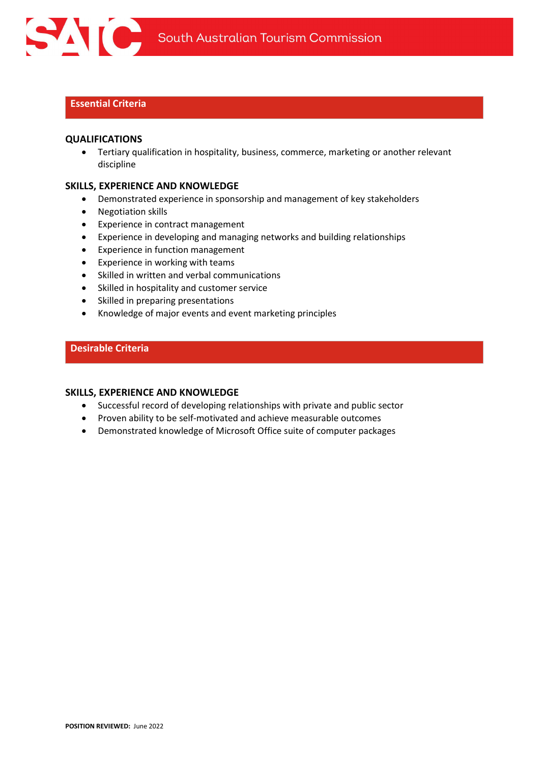

### Essential Criteria

#### QUALIFICATIONS

 Tertiary qualification in hospitality, business, commerce, marketing or another relevant discipline

#### SKILLS, EXPERIENCE AND KNOWLEDGE

- Demonstrated experience in sponsorship and management of key stakeholders
- Negotiation skills
- Experience in contract management
- Experience in developing and managing networks and building relationships
- Experience in function management
- Experience in working with teams
- Skilled in written and verbal communications
- Skilled in hospitality and customer service
- Skilled in preparing presentations
- Knowledge of major events and event marketing principles

#### Desirable Criteria

#### SKILLS, EXPERIENCE AND KNOWLEDGE

- Successful record of developing relationships with private and public sector
- Proven ability to be self-motivated and achieve measurable outcomes
- Demonstrated knowledge of Microsoft Office suite of computer packages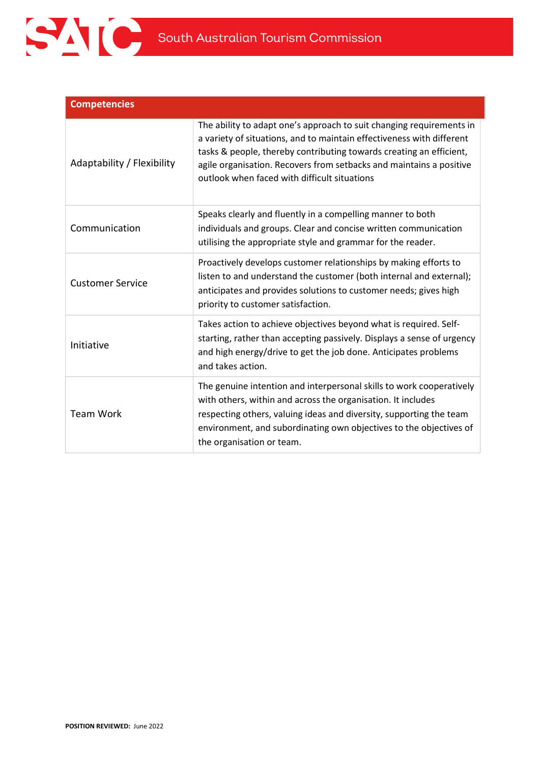

| <b>Competencies</b>        |                                                                                                                                                                                                                                                                                                                                             |
|----------------------------|---------------------------------------------------------------------------------------------------------------------------------------------------------------------------------------------------------------------------------------------------------------------------------------------------------------------------------------------|
| Adaptability / Flexibility | The ability to adapt one's approach to suit changing requirements in<br>a variety of situations, and to maintain effectiveness with different<br>tasks & people, thereby contributing towards creating an efficient,<br>agile organisation. Recovers from setbacks and maintains a positive<br>outlook when faced with difficult situations |
| Communication              | Speaks clearly and fluently in a compelling manner to both<br>individuals and groups. Clear and concise written communication<br>utilising the appropriate style and grammar for the reader.                                                                                                                                                |
| <b>Customer Service</b>    | Proactively develops customer relationships by making efforts to<br>listen to and understand the customer (both internal and external);<br>anticipates and provides solutions to customer needs; gives high<br>priority to customer satisfaction.                                                                                           |
| Initiative                 | Takes action to achieve objectives beyond what is required. Self-<br>starting, rather than accepting passively. Displays a sense of urgency<br>and high energy/drive to get the job done. Anticipates problems<br>and takes action.                                                                                                         |
| <b>Team Work</b>           | The genuine intention and interpersonal skills to work cooperatively<br>with others, within and across the organisation. It includes<br>respecting others, valuing ideas and diversity, supporting the team<br>environment, and subordinating own objectives to the objectives of<br>the organisation or team.                              |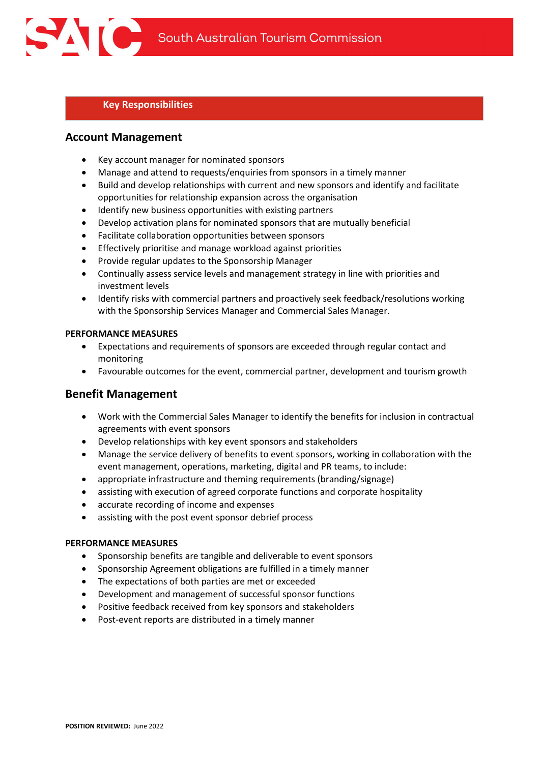### Key Responsibilities

### Account Management

- Key account manager for nominated sponsors
- Manage and attend to requests/enquiries from sponsors in a timely manner
- Build and develop relationships with current and new sponsors and identify and facilitate opportunities for relationship expansion across the organisation
- Identify new business opportunities with existing partners
- Develop activation plans for nominated sponsors that are mutually beneficial
- Facilitate collaboration opportunities between sponsors
- Effectively prioritise and manage workload against priorities
- Provide regular updates to the Sponsorship Manager
- Continually assess service levels and management strategy in line with priorities and investment levels
- Identify risks with commercial partners and proactively seek feedback/resolutions working with the Sponsorship Services Manager and Commercial Sales Manager.

#### PERFORMANCE MEASURES

- Expectations and requirements of sponsors are exceeded through regular contact and monitoring
- Favourable outcomes for the event, commercial partner, development and tourism growth

## Benefit Management

- Work with the Commercial Sales Manager to identify the benefits for inclusion in contractual agreements with event sponsors
- Develop relationships with key event sponsors and stakeholders
- Manage the service delivery of benefits to event sponsors, working in collaboration with the event management, operations, marketing, digital and PR teams, to include:
- appropriate infrastructure and theming requirements (branding/signage)
- assisting with execution of agreed corporate functions and corporate hospitality
- accurate recording of income and expenses
- assisting with the post event sponsor debrief process

#### PERFORMANCE MEASURES

- Sponsorship benefits are tangible and deliverable to event sponsors
- Sponsorship Agreement obligations are fulfilled in a timely manner
- The expectations of both parties are met or exceeded
- Development and management of successful sponsor functions
- Positive feedback received from key sponsors and stakeholders
- Post-event reports are distributed in a timely manner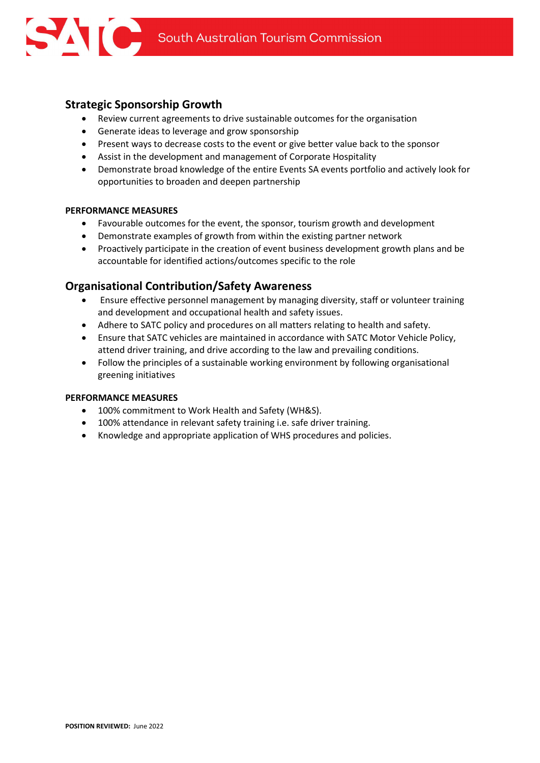## Strategic Sponsorship Growth

- Review current agreements to drive sustainable outcomes for the organisation
- Generate ideas to leverage and grow sponsorship
- Present ways to decrease costs to the event or give better value back to the sponsor
- Assist in the development and management of Corporate Hospitality
- Demonstrate broad knowledge of the entire Events SA events portfolio and actively look for opportunities to broaden and deepen partnership

#### PERFORMANCE MEASURES

- Favourable outcomes for the event, the sponsor, tourism growth and development
- Demonstrate examples of growth from within the existing partner network
- Proactively participate in the creation of event business development growth plans and be accountable for identified actions/outcomes specific to the role

## Organisational Contribution/Safety Awareness

- Ensure effective personnel management by managing diversity, staff or volunteer training and development and occupational health and safety issues.
- Adhere to SATC policy and procedures on all matters relating to health and safety.
- Ensure that SATC vehicles are maintained in accordance with SATC Motor Vehicle Policy, attend driver training, and drive according to the law and prevailing conditions.
- Follow the principles of a sustainable working environment by following organisational greening initiatives

#### PERFORMANCE MEASURES

- 100% commitment to Work Health and Safety (WH&S).
- 100% attendance in relevant safety training i.e. safe driver training.
- Knowledge and appropriate application of WHS procedures and policies.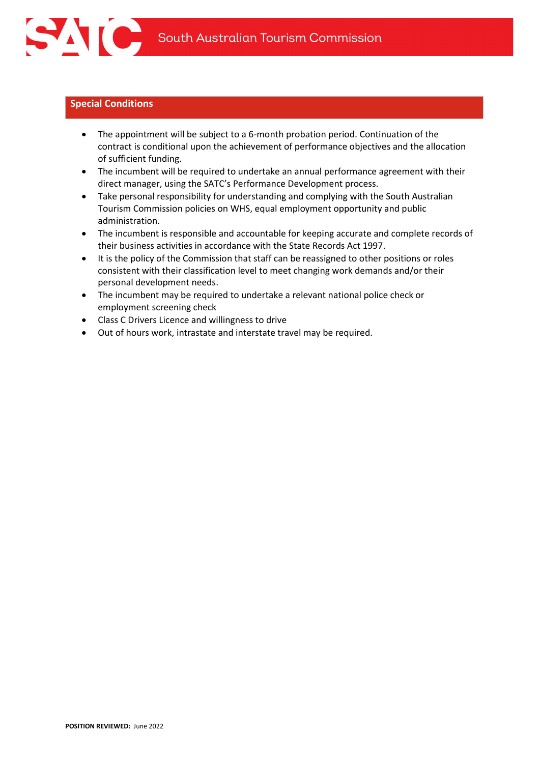## Special Conditions

- The appointment will be subject to a 6-month probation period. Continuation of the contract is conditional upon the achievement of performance objectives and the allocation of sufficient funding.
- The incumbent will be required to undertake an annual performance agreement with their direct manager, using the SATC's Performance Development process.
- Take personal responsibility for understanding and complying with the South Australian Tourism Commission policies on WHS, equal employment opportunity and public administration.
- The incumbent is responsible and accountable for keeping accurate and complete records of their business activities in accordance with the State Records Act 1997.
- It is the policy of the Commission that staff can be reassigned to other positions or roles consistent with their classification level to meet changing work demands and/or their personal development needs.
- The incumbent may be required to undertake a relevant national police check or employment screening check
- Class C Drivers Licence and willingness to drive
- Out of hours work, intrastate and interstate travel may be required.